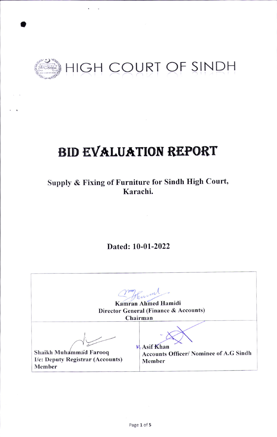

## **BID EVALUATION REPORT**

Supply & Fixing of Furniture for Sindh High Court, Karachi.

Dated: 10-01-2022

Thurm Kamran Ahmed Hamidi Director General (Finance & Accounts) Chairman  $M. Asif Khan$ Shaikh Muhammad Farooq **Accounts Officer/ Nominee of A.G Sindh** I/c: Deputy Registrar (Accounts) Member Member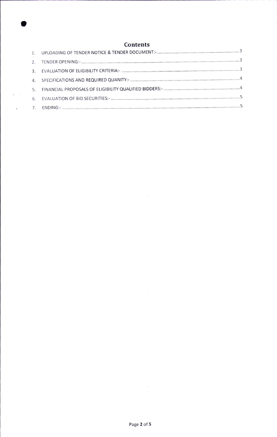

o

 $\mathbf{r}_{\rm{eff}}$  and

 $\mathcal{L}_{\rm{max}}$  .

 $\label{eq:3.1} \begin{array}{ll} \mathbb{E} \left[ \begin{array}{cc} \mathbb{E} \left[ \begin{array}{cc} \mathbb{E} \left[ \begin{array}{cc} \mathbb{E} \left[ \begin{array}{cc} \mathbb{E} \left[ \begin{array}{cc} \mathbb{E} \left[ \begin{array}{cc} \mathbb{E} \left[ \begin{array}{cc} \mathbb{E} \left[ \begin{array}{cc} \mathbb{E} \left[ \begin{array}{cc} \mathbb{E} \left[ \begin{array}{ccc} \mathbb{E} \left[ \begin{array}{ccc} \mathbb{E} \left[ \begin{array}{ccc} \mathbb{E} \left[ \begin{$ 

 $\alpha$  ,  $\alpha$  ,  $\alpha$